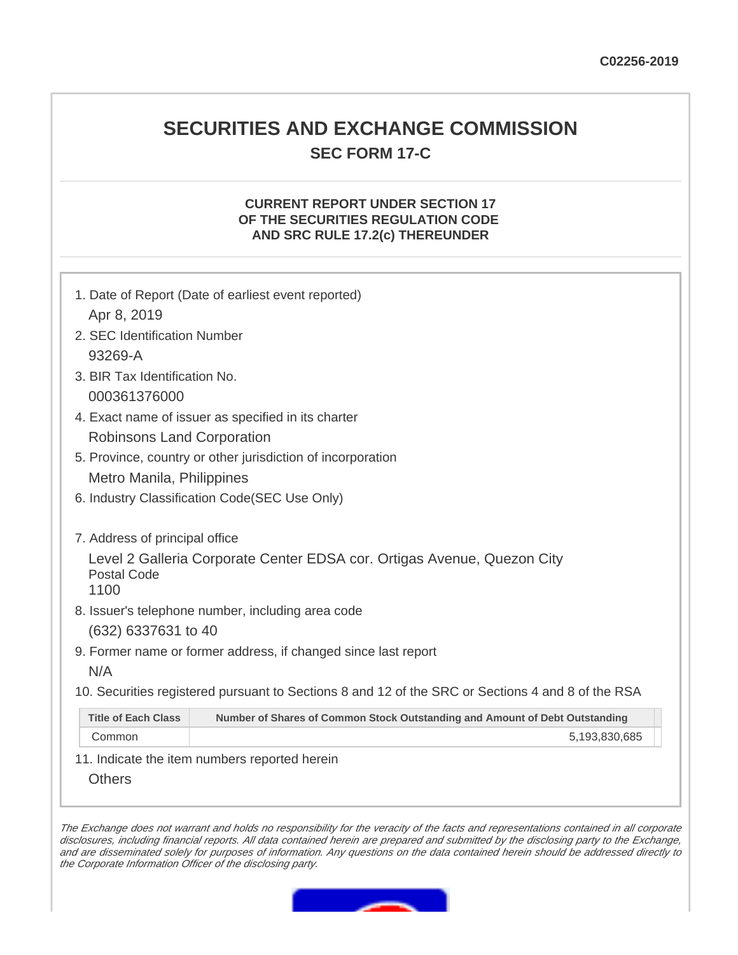## **SECURITIES AND EXCHANGE COMMISSION SEC FORM 17-C**

## **CURRENT REPORT UNDER SECTION 17 OF THE SECURITIES REGULATION CODE AND SRC RULE 17.2(c) THEREUNDER**

| 1. Date of Report (Date of earliest event reported)                                                       |  |  |  |  |
|-----------------------------------------------------------------------------------------------------------|--|--|--|--|
| Apr 8, 2019                                                                                               |  |  |  |  |
| 2. SEC Identification Number                                                                              |  |  |  |  |
| 93269-A                                                                                                   |  |  |  |  |
| 3. BIR Tax Identification No.                                                                             |  |  |  |  |
| 000361376000                                                                                              |  |  |  |  |
| 4. Exact name of issuer as specified in its charter                                                       |  |  |  |  |
| Robinsons Land Corporation                                                                                |  |  |  |  |
| 5. Province, country or other jurisdiction of incorporation                                               |  |  |  |  |
| Metro Manila, Philippines                                                                                 |  |  |  |  |
| 6. Industry Classification Code(SEC Use Only)                                                             |  |  |  |  |
|                                                                                                           |  |  |  |  |
| 7. Address of principal office                                                                            |  |  |  |  |
| Level 2 Galleria Corporate Center EDSA cor. Ortigas Avenue, Quezon City                                   |  |  |  |  |
| Postal Code<br>1100                                                                                       |  |  |  |  |
| 8. Issuer's telephone number, including area code                                                         |  |  |  |  |
| (632) 6337631 to 40                                                                                       |  |  |  |  |
| 9. Former name or former address, if changed since last report                                            |  |  |  |  |
| N/A                                                                                                       |  |  |  |  |
|                                                                                                           |  |  |  |  |
| 10. Securities registered pursuant to Sections 8 and 12 of the SRC or Sections 4 and 8 of the RSA         |  |  |  |  |
| <b>Title of Each Class</b><br>Number of Shares of Common Stock Outstanding and Amount of Debt Outstanding |  |  |  |  |
| Common<br>5,193,830,685                                                                                   |  |  |  |  |

11. Indicate the item numbers reported herein

**Others** 

The Exchange does not warrant and holds no responsibility for the veracity of the facts and representations contained in all corporate disclosures, including financial reports. All data contained herein are prepared and submitted by the disclosing party to the Exchange, and are disseminated solely for purposes of information. Any questions on the data contained herein should be addressed directly to the Corporate Information Officer of the disclosing party.

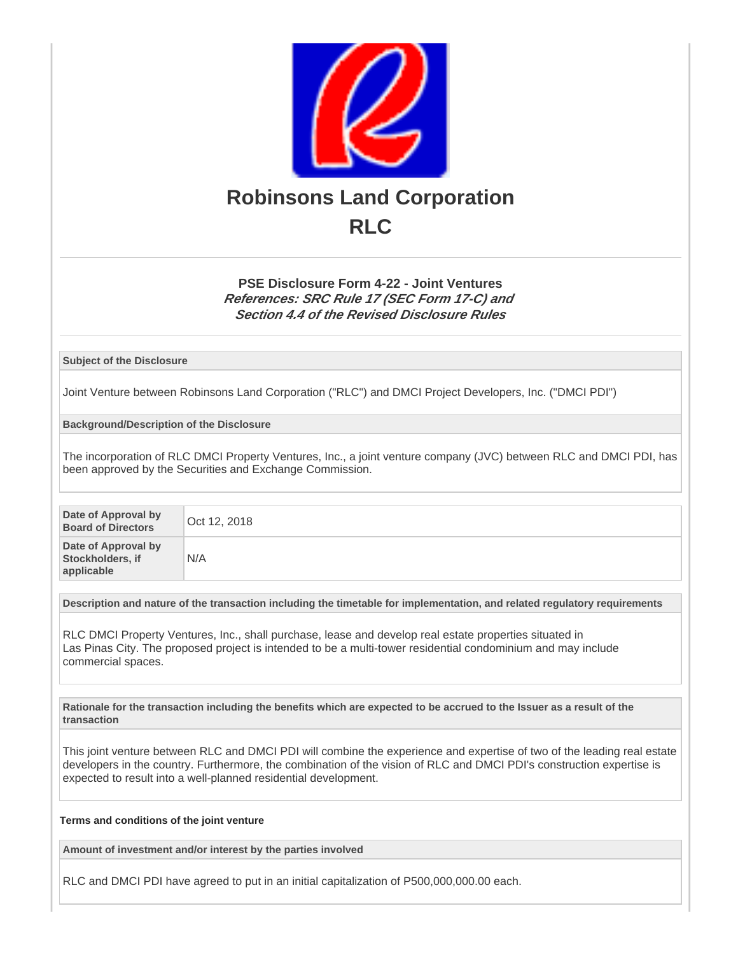

## **PSE Disclosure Form 4-22 - Joint Ventures References: SRC Rule 17 (SEC Form 17-C) and Section 4.4 of the Revised Disclosure Rules**

**Subject of the Disclosure**

Joint Venture between Robinsons Land Corporation ("RLC") and DMCI Project Developers, Inc. ("DMCI PDI")

**Background/Description of the Disclosure**

The incorporation of RLC DMCI Property Ventures, Inc., a joint venture company (JVC) between RLC and DMCI PDI, has been approved by the Securities and Exchange Commission.

| Date of Approval by<br><b>Board of Directors</b>      | Oct 12, 2018 |
|-------------------------------------------------------|--------------|
| Date of Approval by<br>Stockholders, if<br>applicable | N/A          |

**Description and nature of the transaction including the timetable for implementation, and related regulatory requirements**

RLC DMCI Property Ventures, Inc., shall purchase, lease and develop real estate properties situated in Las Pinas City. The proposed project is intended to be a multi-tower residential condominium and may include commercial spaces.

**Rationale for the transaction including the benefits which are expected to be accrued to the Issuer as a result of the transaction**

This joint venture between RLC and DMCI PDI will combine the experience and expertise of two of the leading real estate developers in the country. Furthermore, the combination of the vision of RLC and DMCI PDI's construction expertise is expected to result into a well-planned residential development.

**Terms and conditions of the joint venture**

**Amount of investment and/or interest by the parties involved**

RLC and DMCI PDI have agreed to put in an initial capitalization of P500,000,000.00 each.